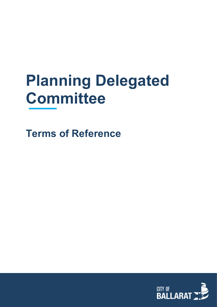# **Planning Delegated Committee**

**Terms of Reference**

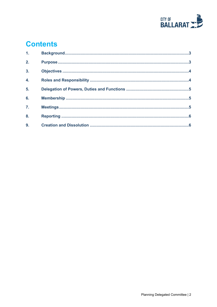

# **Contents**

| 1 <sub>1</sub>   |  |
|------------------|--|
| 2.               |  |
| 3 <sub>1</sub>   |  |
| $\overline{4}$ . |  |
| 5 <sub>1</sub>   |  |
| 6.               |  |
| $\overline{7}$ . |  |
| 8.               |  |
| 9.               |  |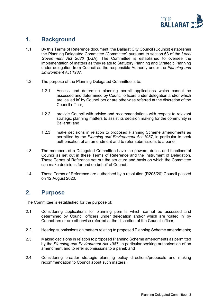

#### <span id="page-2-0"></span>**1. Background**

- 1.1. By this Terms of Reference document, the Ballarat City Council (Council) establishes the Planning Delegated Committee (Committee) pursuant to section 63 of the *Local Government Act 2020* (LGA). The Committee is established to oversee the implementation of matters as they relate to Statutory Planning and Strategic Planning under delegation from Council as the responsible Authority under the *Planning and Environment Act 1987.*
- 1.2. The purpose of the Planning Delegated Committee is to:
	- 1.2.1 Assess and determine planning permit applications which cannot be assessed and determined by Council officers under delegation and/or which are 'called in' by Councillors or are otherwise referred at the discretion of the Council officer;
	- 1.2.2 provide Council with advice and recommendations with respect to relevant strategic planning matters to assist its decision making for the community in Ballarat; and
	- 1.2.3 make decisions in relation to proposed Planning Scheme amendments as permitted by the *Planning and Environment Act 1987*, in particular to seek authorisation of an amendment and to refer submissions to a panel.
- 1.3. The members of a Delegated Committee have the powers, duties and functions of Council as set out in these Terms of Reference and the Instrument of Delegation. These Terms of Reference set out the structure and basis on which the Committee can make decisions for and on behalf of Council.
- 1.4. These Terms of Reference are authorised by a resolution (R205/20) Council passed on 12 August 2020.

#### <span id="page-2-1"></span>**2. Purpose**

The Committee is established for the purpose of:

- 2.1 Considering applications for planning permits which cannot be assessed and determined by Council officers under delegation and/or which are 'called in' by Councillors or are otherwise referred at the discretion of the Council officer;
- 2.2 Hearing submissions on matters relating to proposed Planning Scheme amendments;
- 2.3 Making decisions in relation to proposed Planning Scheme amendments as permitted by the *Planning and Environment Act 1987*, in particular seeking authorisation of an amendment and to refer submissions to a panel; and
- 2.4 Considering broader strategic planning policy directions/proposals and making recommendation to Council about such matters.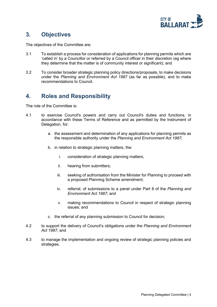

# <span id="page-3-0"></span>**3. Objectives**

The objectives of the Committee are:

- 3.1 To establish a process for consideration of applications for planning permits which are 'called in' by a Councillor or referred by a Council officer in their discretion (eg where they determine that the matter is of community interest or significant); and
- 3.2 To consider broader strategic planning policy directions/proposals, to make decisions under the *Planning and Environment Act 1987* (as far as possible), and to make recommendations to Council.

# <span id="page-3-1"></span>**4. Roles and Responsibility**

The role of the Committee is:

- 4.1 to exercise Council's powers and carry out Council's duties and functions, in accordance with these Terms of Reference and as permitted by the Instrument of Delegation, for:
	- a. the assessment and determination of any applications for planning permits as the responsible authority under the *Planning and Environment Act 1987*;
	- b. in relation to strategic planning matters, the:
		- i. consideration of strategic planning matters;
		- ii. hearing from submitters;
		- iii. seeking of authorisation from the Minister for Planning to proceed with a proposed Planning Scheme amendment;
		- iv. referral; of submissions to a panel under Part 8 of the *Planning and Environment Act 1987*; and
		- v. making recommendations to Council in respect of strategic planning issues; and
	- c. the referral of any planning submission to Council for decision;
- 4.2 to support the delivery of Council's obligations under the *Planning and Environment Act 1987;* and
- 4.3 to manage the implementation and ongoing review of strategic planning policies and strategies.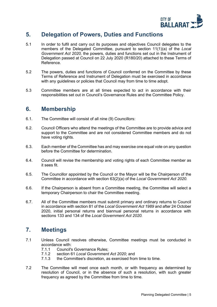

# <span id="page-4-0"></span>**5. Delegation of Powers, Duties and Functions**

- 5.1 In order to fulfil and carry out its purposes and objectives Council delegates to the members of the Delegated Committee, pursuant to section 11(1)(a) of the *Local Government Act 2020,* the powers, duties and functions set out in the Instrument of Delegation passed at Council on 22 July 2020 (R180/20) attached to these Terms of Reference.
- 5.2 The powers, duties and functions of Council conferred on the Committee by these Terms of Reference and Instrument of Delegation must be exercised in accordance with any guidelines or policies that Council may from time to time adopt.
- 5.3 Committee members are at all times expected to act in accordance with their responsibilities set out in Council's Governance Rules and the Committee Policy.

#### <span id="page-4-1"></span>**6. Membership**

- 6.1. The Committee will consist of all nine (9) Councillors:
- 6.2. Council Officers who attend the meetings of the Committee are to provide advice and support to the Committee and are not considered Committee members and do not have voting rights.
- 6.3. Each member of the Committee has and may exercise one equal vote on any question before the Committee for determination.
- 6.4. Council will revise the membership and voting rights of each Committee member as it sees fit.
- 6.5. The Councillor appointed by the Council or the Mayor will be the Chairperson of the Committee in accordance with section 63(2)(a) of the *Local Government Act 2020.*
- 6.6. If the Chairperson is absent from a Committee meeting, the Committee will select a temporary Chairperson to chair the Committee meeting.
- 6.7. All of the Committee members must submit primary and ordinary returns to Council in accordance with section 81 of the *Local Government Act 1989* and after 24 October 2020, initial personal returns and biannual personal returns in accordance with sections 133 and 134 of the *Local Government Act 2020.*

# <span id="page-4-2"></span>**7. Meetings**

- 7.1 Unless Council resolves otherwise, Committee meetings must be conducted in accordance with:<br>7.1.1 Council's
	- Council's Governance Rules;
	- 7.1.2 section 61 *Local Government Act 2020*; and
	- the Committee's discretion, as exercised from time to time.
- 7.2 The Committee will meet once each month, or with frequency as determined by resolution of Council, or in the absence of such a resolution, with such greater frequency as agreed by the Committee from time to time.